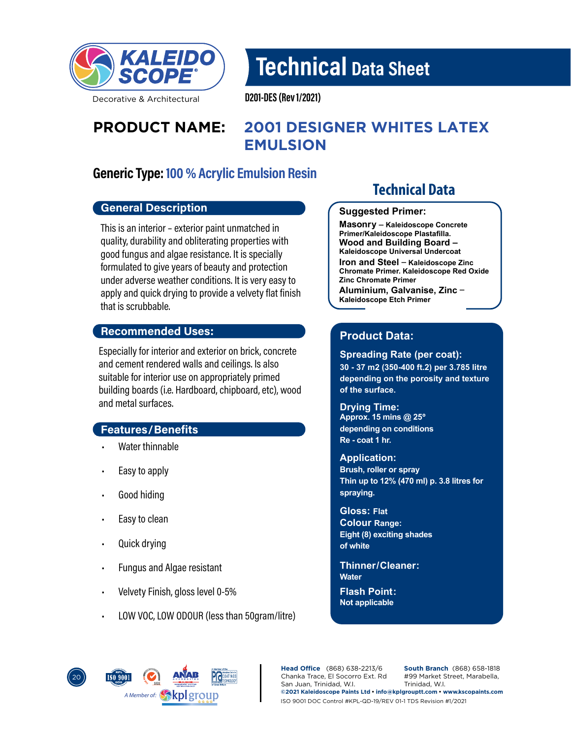

Technical Data Sheet

Decorative & Architectural

D201-DES (Rev 1/2021)

# **PRODUCT NAME: 2001 DESIGNER WHITES LATEX EMULSION**

# Generic Type: 100 % Acrylic Emulsion Resin

### General Description

This is an interior – exterior paint unmatched in quality, durability and obliterating properties with good fungus and algae resistance. It is specially formulated to give years of beauty and protection under adverse weather conditions. It is very easy to apply and quick drying to provide a velvety flat finish that is scrubbable.

#### Recommended Uses:

Especially for interior and exterior on brick, concrete and cement rendered walls and ceilings. Is also suitable for interior use on appropriately primed building boards (i.e. Hardboard, chipboard, etc), wood and metal surfaces.

### Features/Benefits

- Water thinnable
- Easy to apply
- Good hiding
- Easy to clean
- Quick drying
- Fungus and Algae resistant
- Velvety Finish, gloss level 0-5%
- LOW VOC, LOW ODOUR (less than 50gram/litre)

# **Technical Data**

#### **Suggested Primer:**

**Masonry \_ Kaleidoscope Concrete Primer/Kaleidoscope Plastafilla. Wood and Building Board – Kaleidoscope Universal Undercoat Iron and Steel \_ Kaleidoscope Zinc Chromate Primer. Kaleidoscope Red Oxide Zinc Chromate Primer Aluminium, Galvanise, Zinc \_ Kaleidoscope Etch Primer**

# **Product Data:**

#### **Spreading Rate (per coat):**

**30 - 37 m2 (350-400 ft.2) per 3.785 litre depending on the porosity and texture of the surface.**

**Drying Time: Approx. 15 mins @ 25º depending on conditions Re - coat 1 hr.**

#### **Application:**

**Brush, roller or spray Thin up to 12% (470 ml) p. 3.8 litres for spraying.**

**Gloss: Flat Colour Range: Eight (8) exciting shades of white**

#### **Water Thinner/ Cleaner:**

**Flash Point: Not applicable**

**PCOATINGS** 20 *A Member of:*

**Head Office** (868) 638-2213/6 Chanka Trace, El Socorro Ext. Rd San Juan, Trinidad, W.I. **South Branch** (868) 658-1818 #99 Market Street, Marabella, Trinidad, W.I. **©2021 Kaleidoscope Paints Ltd • info@kplgrouptt.com • www.kscopaints.com** ISO 9001 DOC Control #KPL-QD-19/REV 01-1 TDS Revision #1/2021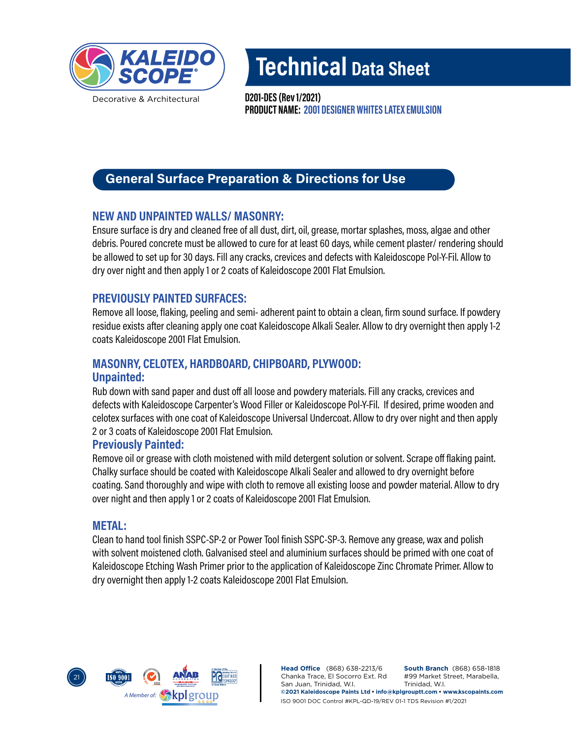

Decorative & Architectural

Technical Data Sheet

PRODUCT NAME: 2001 DESIGNER WHITES LATEX EMULSION D201-DES (Rev 1/2021)

# General Surface Preparation & Directions for Use

# NEW AND UNPAINTED WALLS/ MASONRY:

Ensure surface is dry and cleaned free of all dust, dirt, oil, grease, mortar splashes, moss, algae and other debris. Poured concrete must be allowed to cure for at least 60 days, while cement plaster/ rendering should be allowed to set up for 30 days. Fill any cracks, crevices and defects with Kaleidoscope Pol-Y-Fil. Allow to dry over night and then apply 1 or 2 coats of Kaleidoscope 2001 Flat Emulsion.

# PREVIOUSLY PAINTED SURFACES:

Remove all loose, flaking, peeling and semi- adherent paint to obtain a clean, firm sound surface. If powdery residue exists after cleaning apply one coat Kaleidoscope Alkali Sealer. Allow to dry overnight then apply 1-2 coats Kaleidoscope 2001 Flat Emulsion.

# MASONRY, CELOTEX, HARDBOARD, CHIPBOARD, PLYWOOD: Unpainted:

Rub down with sand paper and dust off all loose and powdery materials. Fill any cracks, crevices and defects with Kaleidoscope Carpenter's Wood Filler or Kaleidoscope Pol-Y-Fil. If desired, prime wooden and celotex surfaces with one coat of Kaleidoscope Universal Undercoat. Allow to dry over night and then apply 2 or 3 coats of Kaleidoscope 2001 Flat Emulsion.

### Previously Painted:

Remove oil or grease with cloth moistened with mild detergent solution or solvent. Scrape off flaking paint. Chalky surface should be coated with Kaleidoscope Alkali Sealer and allowed to dry overnight before coating. Sand thoroughly and wipe with cloth to remove all existing loose and powder material. Allow to dry over night and then apply 1 or 2 coats of Kaleidoscope 2001 Flat Emulsion.

### METAL:

Clean to hand tool finish SSPC-SP-2 or Power Tool finish SSPC-SP-3. Remove any grease, wax and polish with solvent moistened cloth. Galvanised steel and aluminium surfaces should be primed with one coat of Kaleidoscope Etching Wash Primer prior to the application of Kaleidoscope Zinc Chromate Primer. Allow to dry overnight then apply 1-2 coats Kaleidoscope 2001 Flat Emulsion.



**Head Office** (868) 638-2213/6 Chanka Trace, El Socorro Ext. Rd San Juan, Trinidad, W.I. **South Branch** (868) 658-1818 #99 Market Street, Marabella, Trinidad, W.I. **©2021 Kaleidoscope Paints Ltd • info@kplgrouptt.com • www.kscopaints.com** ISO 9001 DOC Control #KPL-QD-19/REV 01-1 TDS Revision #1/2021